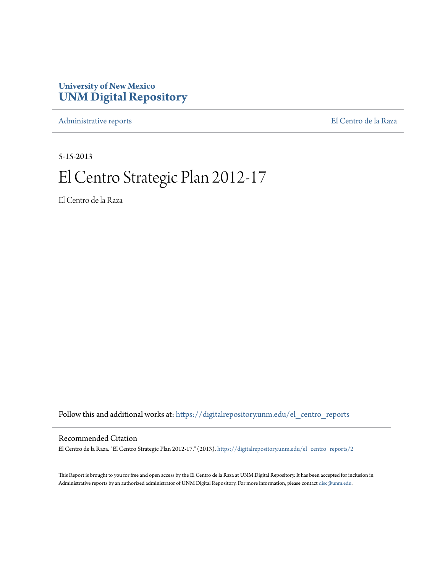# **University of New Mexico [UNM Digital Repository](https://digitalrepository.unm.edu?utm_source=digitalrepository.unm.edu%2Fel_centro_reports%2F2&utm_medium=PDF&utm_campaign=PDFCoverPages)**

[Administrative reports](https://digitalrepository.unm.edu/el_centro_reports?utm_source=digitalrepository.unm.edu%2Fel_centro_reports%2F2&utm_medium=PDF&utm_campaign=PDFCoverPages) [El Centro de la Raza](https://digitalrepository.unm.edu/el_centro?utm_source=digitalrepository.unm.edu%2Fel_centro_reports%2F2&utm_medium=PDF&utm_campaign=PDFCoverPages)

5-15-2013

# El Centro Strategic Plan 2012-17

El Centro de la Raza

Follow this and additional works at: [https://digitalrepository.unm.edu/el\\_centro\\_reports](https://digitalrepository.unm.edu/el_centro_reports?utm_source=digitalrepository.unm.edu%2Fel_centro_reports%2F2&utm_medium=PDF&utm_campaign=PDFCoverPages)

#### Recommended Citation

El Centro de la Raza. "El Centro Strategic Plan 2012-17." (2013). [https://digitalrepository.unm.edu/el\\_centro\\_reports/2](https://digitalrepository.unm.edu/el_centro_reports/2?utm_source=digitalrepository.unm.edu%2Fel_centro_reports%2F2&utm_medium=PDF&utm_campaign=PDFCoverPages)

This Report is brought to you for free and open access by the El Centro de la Raza at UNM Digital Repository. It has been accepted for inclusion in Administrative reports by an authorized administrator of UNM Digital Repository. For more information, please contact [disc@unm.edu.](mailto:disc@unm.edu)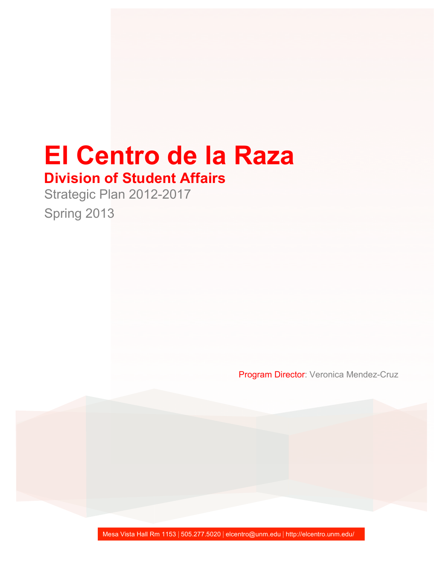# **El Centro de la Raza**

# **Division of Student Affairs**

Strategic Plan 2012-2017

Spring 2013

Program Director: Veronica Mendez-Cruz

Mesa Vista Hall Rm 1153 | 505.277.5020 | elcentro@unm.edu | http://elcentro.unm.edu/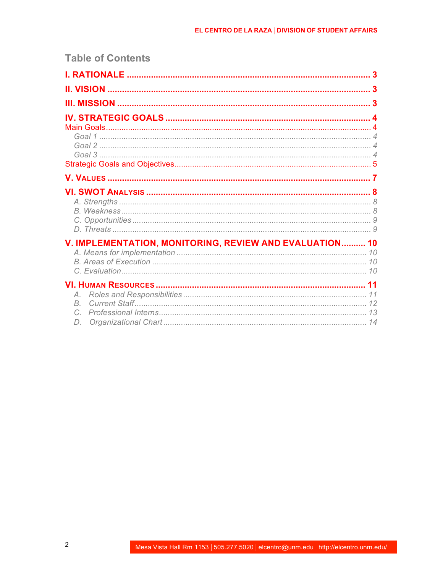# V. IMPLEMENTATION, MONITORING, REVIEW AND EVALUATION.......... 10

**Table of Contents**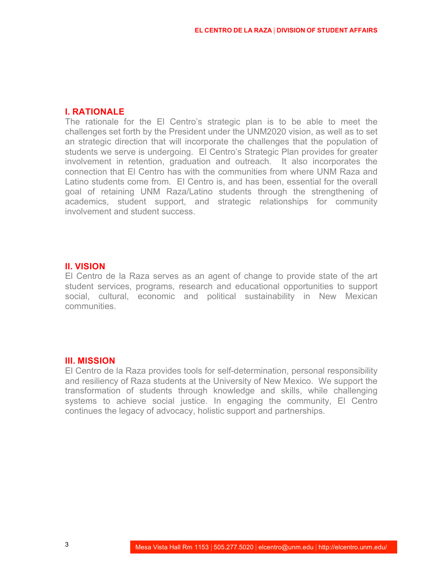#### **I. RATIONALE**

The rationale for the El Centro's strategic plan is to be able to meet the challenges set forth by the President under the UNM2020 vision, as well as to set an strategic direction that will incorporate the challenges that the population of students we serve is undergoing. El Centro's Strategic Plan provides for greater involvement in retention, graduation and outreach. It also incorporates the connection that El Centro has with the communities from where UNM Raza and Latino students come from. El Centro is, and has been, essential for the overall goal of retaining UNM Raza/Latino students through the strengthening of academics, student support, and strategic relationships for community involvement and student success.

#### **II. VISION**

El Centro de la Raza serves as an agent of change to provide state of the art student services, programs, research and educational opportunities to support social, cultural, economic and political sustainability in New Mexican communities.

#### **III. MISSION**

El Centro de la Raza provides tools for self-determination, personal responsibility and resiliency of Raza students at the University of New Mexico. We support the transformation of students through knowledge and skills, while challenging systems to achieve social justice. In engaging the community, El Centro continues the legacy of advocacy, holistic support and partnerships.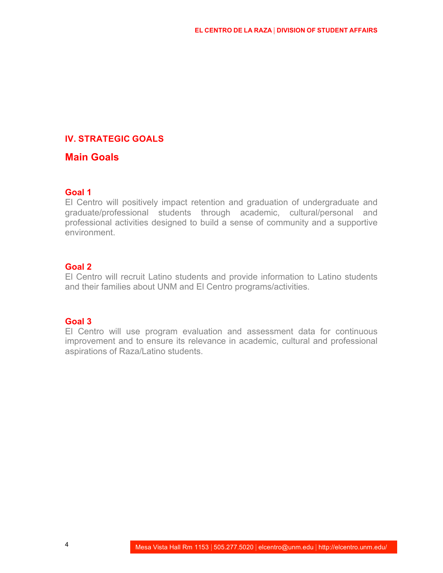# **IV. STRATEGIC GOALS**

# **Main Goals**

# **Goal 1**

El Centro will positively impact retention and graduation of undergraduate and graduate/professional students through academic, cultural/personal and professional activities designed to build a sense of community and a supportive environment.

#### **Goal 2**

El Centro will recruit Latino students and provide information to Latino students and their families about UNM and El Centro programs/activities.

#### **Goal 3**

El Centro will use program evaluation and assessment data for continuous improvement and to ensure its relevance in academic, cultural and professional aspirations of Raza/Latino students.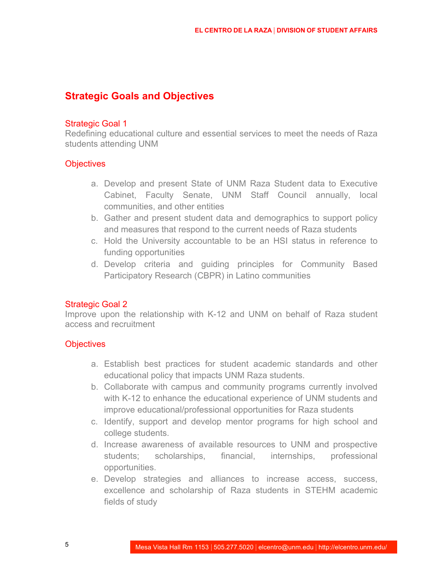# **Strategic Goals and Objectives**

#### Strategic Goal 1

Redefining educational culture and essential services to meet the needs of Raza students attending UNM

#### **Objectives**

- a. Develop and present State of UNM Raza Student data to Executive Cabinet, Faculty Senate, UNM Staff Council annually, local communities, and other entities
- b. Gather and present student data and demographics to support policy and measures that respond to the current needs of Raza students
- c. Hold the University accountable to be an HSI status in reference to funding opportunities
- d. Develop criteria and guiding principles for Community Based Participatory Research (CBPR) in Latino communities

#### Strategic Goal 2

Improve upon the relationship with K-12 and UNM on behalf of Raza student access and recruitment

# **Objectives**

- a. Establish best practices for student academic standards and other educational policy that impacts UNM Raza students.
- b. Collaborate with campus and community programs currently involved with K-12 to enhance the educational experience of UNM students and improve educational/professional opportunities for Raza students
- c. Identify, support and develop mentor programs for high school and college students.
- d. Increase awareness of available resources to UNM and prospective students; scholarships, financial, internships, professional opportunities.
- e. Develop strategies and alliances to increase access, success, excellence and scholarship of Raza students in STEHM academic fields of study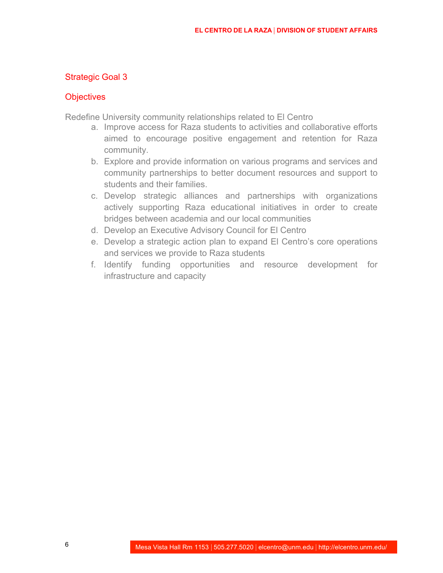# Strategic Goal 3

#### **Objectives**

Redefine University community relationships related to El Centro

- a. Improve access for Raza students to activities and collaborative efforts aimed to encourage positive engagement and retention for Raza community.
- b. Explore and provide information on various programs and services and community partnerships to better document resources and support to students and their families.
- c. Develop strategic alliances and partnerships with organizations actively supporting Raza educational initiatives in order to create bridges between academia and our local communities
- d. Develop an Executive Advisory Council for El Centro
- e. Develop a strategic action plan to expand El Centro's core operations and services we provide to Raza students
- f. Identify funding opportunities and resource development for infrastructure and capacity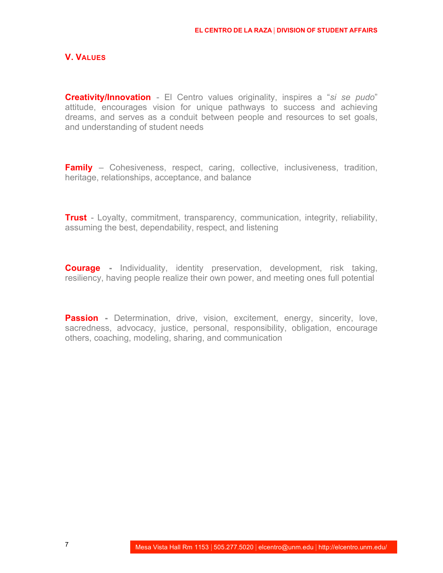#### **V. VALUES**

**Creativity/Innovation** - El Centro values originality, inspires a "*si se pudo*" attitude, encourages vision for unique pathways to success and achieving dreams, and serves as a conduit between people and resources to set goals, and understanding of student needs

**Family** – Cohesiveness, respect, caring, collective, inclusiveness, tradition, heritage, relationships, acceptance, and balance

**Trust** - Loyalty, commitment, transparency, communication, integrity, reliability, assuming the best, dependability, respect, and listening

**Courage -** Individuality, identity preservation, development, risk taking, resiliency, having people realize their own power, and meeting ones full potential

**Passion** - Determination, drive, vision, excitement, energy, sincerity, love, sacredness, advocacy, justice, personal, responsibility, obligation, encourage others, coaching, modeling, sharing, and communication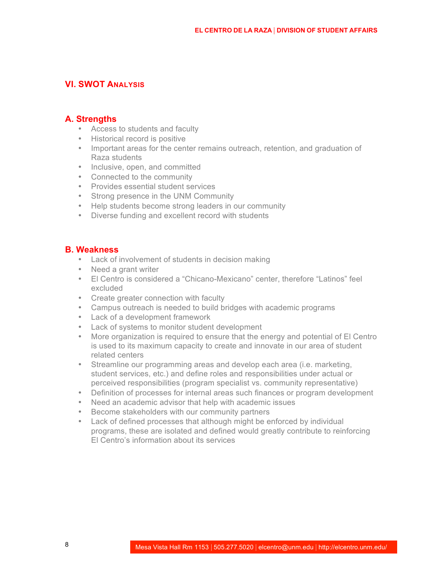# **VI. SWOT ANALYSIS**

#### **A. Strengths**

- Access to students and faculty
- Historical record is positive
- Important areas for the center remains outreach, retention, and graduation of Raza students
- Inclusive, open, and committed
- Connected to the community
- Provides essential student services
- Strong presence in the UNM Community
- Help students become strong leaders in our community
- Diverse funding and excellent record with students

#### **B. Weakness**

- Lack of involvement of students in decision making
- Need a grant writer
- El Centro is considered a "Chicano-Mexicano" center, therefore "Latinos" feel excluded
- Create greater connection with faculty
- Campus outreach is needed to build bridges with academic programs
- Lack of a development framework
- Lack of systems to monitor student development
- More organization is required to ensure that the energy and potential of El Centro is used to its maximum capacity to create and innovate in our area of student related centers
- Streamline our programming areas and develop each area (i.e. marketing, student services, etc.) and define roles and responsibilities under actual or perceived responsibilities (program specialist vs. community representative)
- Definition of processes for internal areas such finances or program development
- Need an academic advisor that help with academic issues
- Become stakeholders with our community partners
- Lack of defined processes that although might be enforced by individual programs, these are isolated and defined would greatly contribute to reinforcing El Centro's information about its services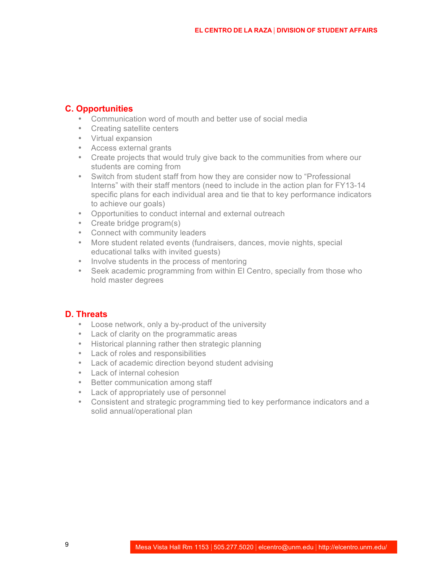# **C. Opportunities**

- Communication word of mouth and better use of social media
- Creating satellite centers
- Virtual expansion
- Access external grants
- Create projects that would truly give back to the communities from where our students are coming from
- Switch from student staff from how they are consider now to "Professional Interns" with their staff mentors (need to include in the action plan for FY13-14 specific plans for each individual area and tie that to key performance indicators to achieve our goals)
- Opportunities to conduct internal and external outreach
- Create bridge program(s)
- Connect with community leaders
- More student related events (fundraisers, dances, movie nights, special educational talks with invited guests)
- Involve students in the process of mentoring
- Seek academic programming from within El Centro, specially from those who hold master degrees

# **D. Threats**

- Loose network, only a by-product of the university
- Lack of clarity on the programmatic areas
- Historical planning rather then strategic planning
- Lack of roles and responsibilities
- Lack of academic direction beyond student advising
- Lack of internal cohesion
- Better communication among staff
- Lack of appropriately use of personnel
- Consistent and strategic programming tied to key performance indicators and a solid annual/operational plan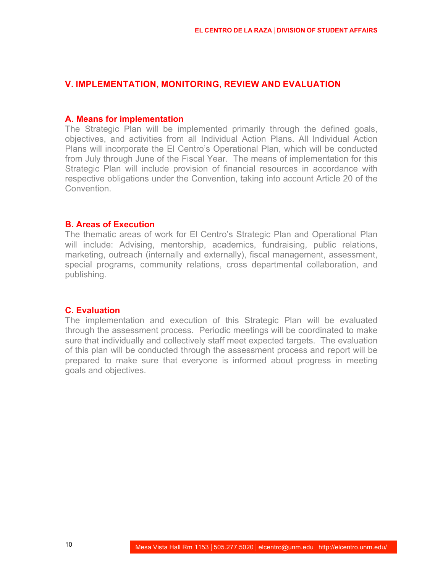#### **V. IMPLEMENTATION, MONITORING, REVIEW AND EVALUATION**

#### **A. Means for implementation**

The Strategic Plan will be implemented primarily through the defined goals, objectives, and activities from all Individual Action Plans. All Individual Action Plans will incorporate the El Centro's Operational Plan, which will be conducted from July through June of the Fiscal Year. The means of implementation for this Strategic Plan will include provision of financial resources in accordance with respective obligations under the Convention, taking into account Article 20 of the **Convention** 

#### **B. Areas of Execution**

The thematic areas of work for El Centro's Strategic Plan and Operational Plan will include: Advising, mentorship, academics, fundraising, public relations, marketing, outreach (internally and externally), fiscal management, assessment, special programs, community relations, cross departmental collaboration, and publishing.

#### **C. Evaluation**

The implementation and execution of this Strategic Plan will be evaluated through the assessment process. Periodic meetings will be coordinated to make sure that individually and collectively staff meet expected targets. The evaluation of this plan will be conducted through the assessment process and report will be prepared to make sure that everyone is informed about progress in meeting goals and objectives.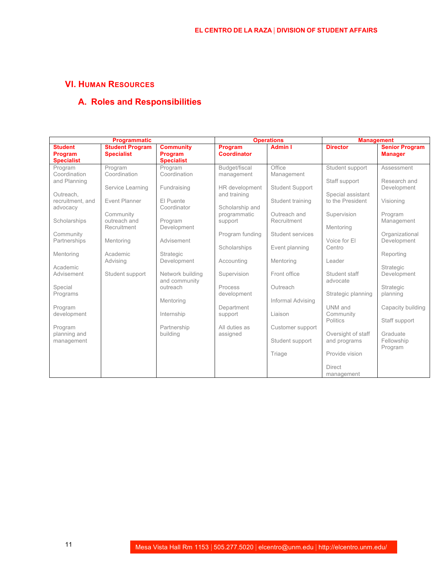# **VI. HUMAN RESOURCES**

# **A. Roles and Responsibilities**

| <b>Programmatic</b>                                                                                                                                                      |                                                                                                                                                                         |                                                                                                                                                            | <b>Operations</b>                                                                                                                                                           |                                                                                                                                                                      | <b>Management</b>                                                                                                                                          |                                                                                                                                                           |
|--------------------------------------------------------------------------------------------------------------------------------------------------------------------------|-------------------------------------------------------------------------------------------------------------------------------------------------------------------------|------------------------------------------------------------------------------------------------------------------------------------------------------------|-----------------------------------------------------------------------------------------------------------------------------------------------------------------------------|----------------------------------------------------------------------------------------------------------------------------------------------------------------------|------------------------------------------------------------------------------------------------------------------------------------------------------------|-----------------------------------------------------------------------------------------------------------------------------------------------------------|
| <b>Student</b><br>Program<br><b>Specialist</b>                                                                                                                           | <b>Student Program</b><br><b>Specialist</b>                                                                                                                             | <b>Community</b><br>Program<br><b>Specialist</b>                                                                                                           | Program<br><b>Coordinator</b>                                                                                                                                               | <b>Admin I</b>                                                                                                                                                       | <b>Director</b>                                                                                                                                            | <b>Senior Program</b><br><b>Manager</b>                                                                                                                   |
| Program<br>Coordination<br>and Planning<br>Outreach.<br>recruitment, and<br>advocacy<br>Scholarships<br>Community<br>Partnerships<br>Mentoring<br>Academic<br>Advisement | Program<br>Coordination<br>Service Learning<br><b>Event Planner</b><br>Community<br>outreach and<br>Recruitment<br>Mentoring<br>Academic<br>Advising<br>Student support | Program<br>Coordination<br>Fundraising<br>El Puente<br>Coordinator<br>Program<br>Development<br>Advisement<br>Strategic<br>Development<br>Network building | Budget/fiscal<br>management<br>HR development<br>and training<br>Scholarship and<br>programmatic<br>support<br>Program funding<br>Scholarships<br>Accounting<br>Supervision | Office<br>Management<br><b>Student Support</b><br>Student training<br>Outreach and<br>Recruitment<br>Student services<br>Event planning<br>Mentoring<br>Front office | Student support<br>Staff support<br>Special assistant<br>to the President<br>Supervision<br>Mentoring<br>Voice for El<br>Centro<br>Leader<br>Student staff | Assessment<br>Research and<br>Development<br>Visioning<br>Program<br>Management<br>Organizational<br>Development<br>Reporting<br>Strategic<br>Development |
| Special<br>Programs<br>Program<br>development<br>Program<br>planning and<br>management                                                                                   |                                                                                                                                                                         | and community<br>outreach<br>Mentoring<br>Internship<br>Partnership<br>building                                                                            | Process<br>development<br>Department<br>support<br>All duties as<br>assigned                                                                                                | Outreach<br>Informal Advising<br>Liaison<br>Customer support<br>Student support<br>Triage                                                                            | advocate<br>Strategic planning<br>UNM and<br>Community<br>Politics<br>Oversight of staff<br>and programs<br>Provide vision<br><b>Direct</b><br>management  | Strategic<br>planning<br>Capacity building<br>Staff support<br>Graduate<br>Fellowship<br>Program                                                          |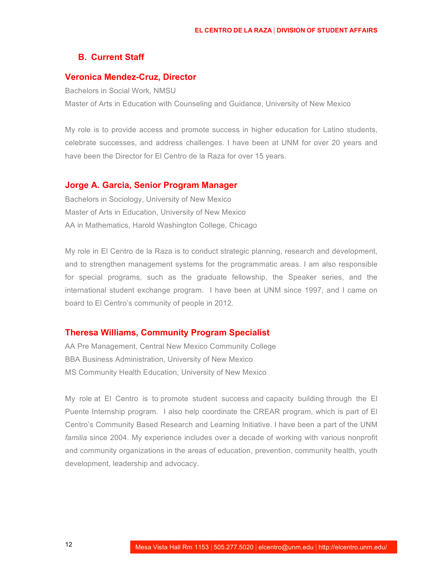#### **B. Current Staff**

#### **Veronica Mendez-Cruz, Director**

Bachelors in Social Work, NMSU Master of Arts in Education with Counseling and Guidance, University of New Mexico

My role is to provide access and promote success in higher education for Latino students, celebrate successes, and address challenges. I have been at UNM for over 20 years and have been the Director for El Centro de la Raza for over 15 years.

#### **Jorge A. Garcia, Senior Program Manager**

Bachelors in Sociology, University of New Mexico Master of Arts in Education, University of New Mexico AA in Mathematics, Harold Washington College, Chicago

My role in El Centro de la Raza is to conduct strategic planning, research and development, and to strengthen management systems for the programmatic areas. I am also responsible for special programs, such as the graduate fellowship, the Speaker series, and the international student exchange program. I have been at UNM since 1997, and I came on board to El Centro's community of people in 2012.

#### **Theresa Williams, Community Program Specialist**

AA Pre Management, Central New Mexico Community College BBA Business Administration, University of New Mexico MS Community Health Education, University of New Mexico

My role at El Centro is to promote student success and capacity building through the El Puente Internship program. I also help coordinate the CREAR program, which is part of El Centro's Community Based Research and Learning Initiative. I have been a part of the UNM *familia* since 2004. My experience includes over a decade of working with various nonprofit and community organizations in the areas of education, prevention, community health, youth development, leadership and advocacy.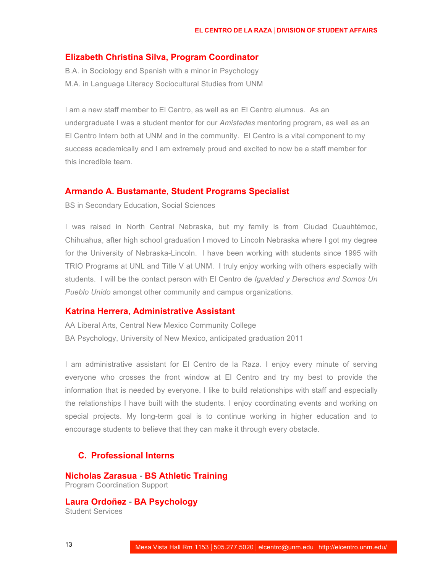#### **Elizabeth Christina Silva, Program Coordinator**

B.A. in Sociology and Spanish with a minor in Psychology M.A. in Language Literacy Sociocultural Studies from UNM

I am a new staff member to El Centro, as well as an El Centro alumnus. As an undergraduate I was a student mentor for our *Amistades* mentoring program, as well as an El Centro Intern both at UNM and in the community. El Centro is a vital component to my success academically and I am extremely proud and excited to now be a staff member for this incredible team.

#### **Armando A. Bustamante**, **Student Programs Specialist**

BS in Secondary Education, Social Sciences

I was raised in North Central Nebraska, but my family is from Ciudad Cuauhtémoc, Chihuahua, after high school graduation I moved to Lincoln Nebraska where I got my degree for the University of Nebraska-Lincoln. I have been working with students since 1995 with TRIO Programs at UNL and Title V at UNM. I truly enjoy working with others especially with students. I will be the contact person with El Centro de *Igualdad y Derechos and Somos Un Pueblo Unido* amongst other community and campus organizations.

#### **Katrina Herrera**, **Administrative Assistant**

AA Liberal Arts, Central New Mexico Community College BA Psychology, University of New Mexico, anticipated graduation 2011

I am administrative assistant for El Centro de la Raza. I enjoy every minute of serving everyone who crosses the front window at El Centro and try my best to provide the information that is needed by everyone. I like to build relationships with staff and especially the relationships I have built with the students. I enjoy coordinating events and working on special projects. My long-term goal is to continue working in higher education and to encourage students to believe that they can make it through every obstacle.

#### **C. Professional Interns**

**Nicholas Zarasua - BS Athletic Training**

Program Coordination Support

**Laura Ordoñez - BA Psychology** Student Services